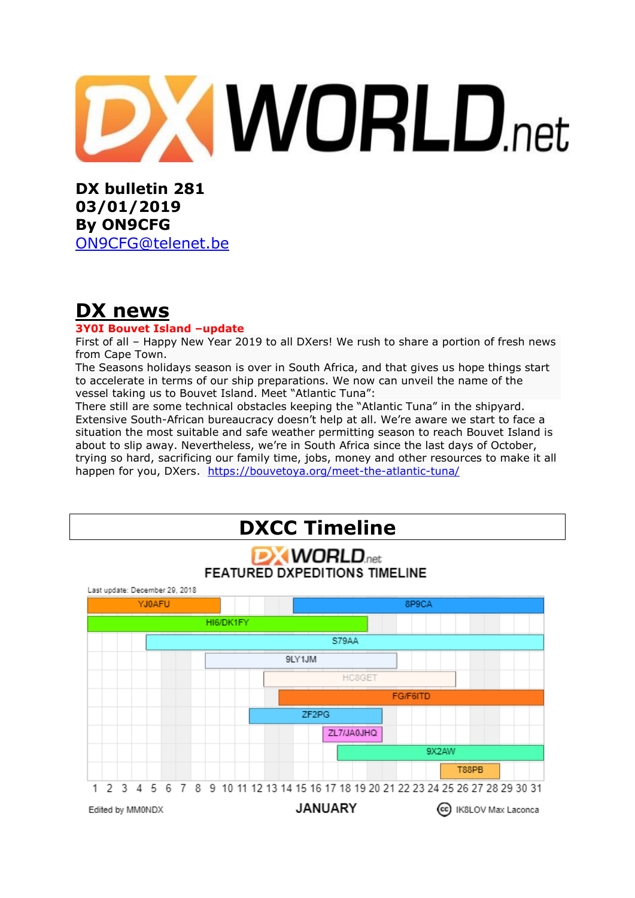# **XWORLD.net**

**DX bulletin 281 03/01/2019 By ON9CFG**  [ON9CFG@telenet.be](mailto:ON9CFG@telenet.be)

## **DX news**

## **3Y0I Bouvet Island –update**

First of all – Happy New Year 2019 to all DXers! We rush to share a portion of fresh news from Cape Town.

The Seasons holidays season is over in South Africa, and that gives us hope things start to accelerate in terms of our ship preparations. We now can unveil the name of the vessel taking us to Bouvet Island. Meet "Atlantic Tuna":

There still are some technical obstacles keeping the "Atlantic Tuna" in the shipyard. Extensive South-African bureaucracy doesn't help at all. We're aware we start to face a situation the most suitable and safe weather permitting season to reach Bouvet Island is about to slip away. Nevertheless, we're in South Africa since the last days of October, trying so hard, sacrificing our family time, jobs, money and other resources to make it all happen for you, DXers. <https://bouvetoya.org/meet-the-atlantic-tuna/>

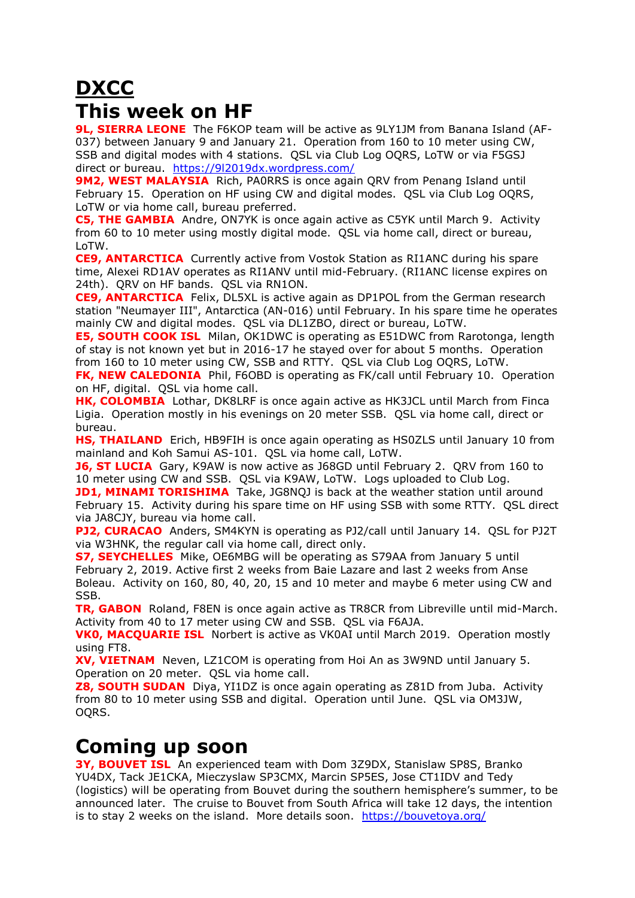# **DXCC This week on HF**

**9L, SIERRA LEONE** The F6KOP team will be active as 9LY1JM from Banana Island (AF-037) between January 9 and January 21. Operation from 160 to 10 meter using CW, SSB and digital modes with 4 stations. QSL via Club Log OQRS, LoTW or via F5GSJ direct or bureau. <https://9l2019dx.wordpress.com/>

**9M2, WEST MALAYSIA** Rich, PA0RRS is once again QRV from Penang Island until February 15. Operation on HF using CW and digital modes. QSL via Club Log OQRS, LoTW or via home call, bureau preferred.

**C5, THE GAMBIA** Andre, ON7YK is once again active as C5YK until March 9. Activity from 60 to 10 meter using mostly digital mode. QSL via home call, direct or bureau, LoTW.

**CE9, ANTARCTICA** Currently active from Vostok Station as [RI1ANC](https://dx-world.net/ri1anc-vostok-base-antarctica/) during his spare time, Alexei RD1AV operates as RI1ANV until mid-February. (RI1ANC license expires on 24th). QRV on HF bands. QSL via RN1ON.

**CE9, ANTARCTICA** Felix, DL5XL is active again as DP1POL from the German research station "Neumayer III", Antarctica (AN-016) until February. In his spare time he operates mainly CW and digital modes. QSL via DL1ZBO, direct or bureau, LoTW.

**E5, SOUTH COOK ISL** Milan, OK1DWC is operating as E51DWC from Rarotonga, length of stay is not known yet but in 2016-17 he stayed over for about 5 months. Operation from 160 to 10 meter using CW, SSB and RTTY. QSL via Club Log OQRS, LoTW.

**FK, NEW CALEDONIA** Phil, F6OBD is operating as FK/call until February 10. Operation on HF, digital. QSL via home call.

**HK, COLOMBIA** Lothar, DK8LRF is once again active as HK3JCL until March from Finca Ligia. Operation mostly in his evenings on 20 meter SSB. QSL via home call, direct or bureau.

**HS, THAILAND** Erich, HB9FIH is once again operating as HS0ZLS until January 10 from mainland and Koh Samui AS-101. QSL via home call, LoTW.

**J6, ST LUCIA** Gary, K9AW is now active as J68GD until February 2. QRV from 160 to 10 meter using CW and SSB. QSL via K9AW, LoTW. Logs uploaded to Club Log.

**JD1, MINAMI TORISHIMA** Take, JG8NQJ is back at the weather station until around February 15. Activity during his spare time on HF using SSB with some RTTY. QSL direct via JA8CJY, bureau via home call.

**PJ2, CURACAO** Anders, SM4KYN is operating as PJ2/call until January 14. QSL for PJ2T via W3HNK, the regular call via home call, direct only.

**S7, SEYCHELLES** Mike, OE6MBG will be operating as S79AA from January 5 until February 2, 2019. Active first 2 weeks from Baie Lazare and last 2 weeks from Anse Boleau. Activity on 160, 80, 40, 20, 15 and 10 meter and maybe 6 meter using CW and SSB.

**TR, GABON** Roland, F8EN is once again active as TR8CR from Libreville until mid-March. Activity from 40 to 17 meter using CW and SSB. QSL via F6AJA.

**VK0, MACQUARIE ISL** Norbert is active as VK0AI until March 2019. Operation mostly using FT8.

**XV, VIETNAM** Neven, LZ1COM is operating from Hoi An as 3W9ND until January 5. Operation on 20 meter. QSL via home call.

**Z8, SOUTH SUDAN** Diya, YI1DZ is once again operating as Z81D from Juba. Activity from 80 to 10 meter using SSB and digital. Operation until June. QSL via OM3JW, OQRS.

## **Coming up soon**

**3Y, BOUVET ISL** An experienced team with Dom 3Z9DX, Stanislaw SP8S, Branko YU4DX, Tack JE1CKA, Mieczyslaw SP3CMX, Marcin SP5ES, Jose CT1IDV and Tedy (logistics) will be operating from Bouvet during the southern hemisphere's summer, to be announced later. The cruise to Bouvet from South Africa will take 12 days, the intention is to stay 2 weeks on the island. More details soon. <https://bouvetoya.org/>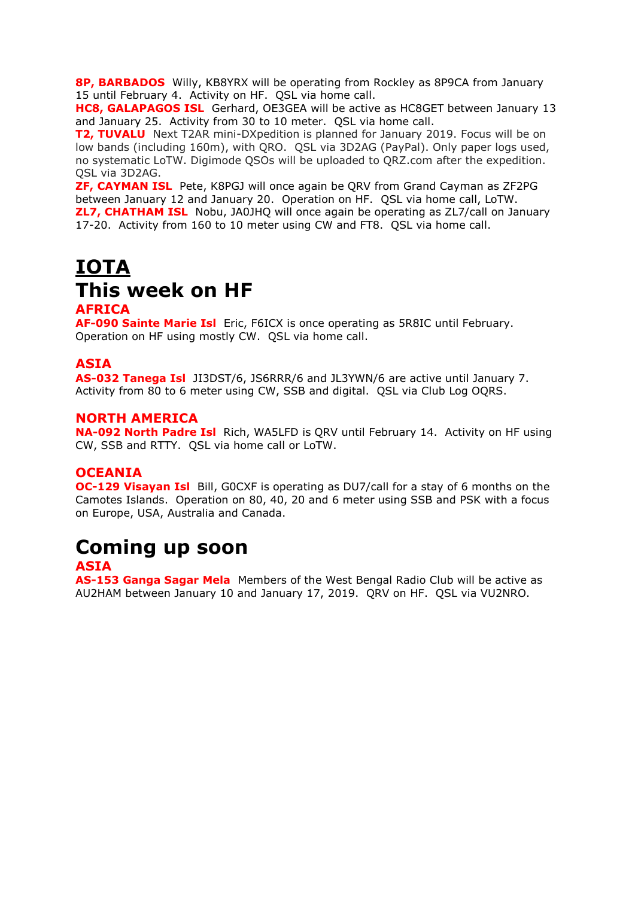**8P, BARBADOS** Willy, KB8YRX will be operating from Rockley as 8P9CA from January 15 until February 4. Activity on HF. QSL via home call.

**HC8, GALAPAGOS ISL** Gerhard, OE3GEA will be active as HC8GET between January 13 and January 25. Activity from 30 to 10 meter. QSL via home call.

**T2, TUVALU** Next T2AR mini-DXpedition is planned for January 2019. Focus will be on low bands (including 160m), with QRO. QSL via 3D2AG (PayPal). Only paper logs used, no systematic LoTW. Digimode QSOs will be uploaded to QRZ.com after the expedition. QSL via 3D2AG.

**ZF, CAYMAN ISL** Pete, K8PGJ will once again be QRV from Grand Cayman as ZF2PG between January 12 and January 20. Operation on HF. QSL via home call, LoTW. **ZL7, CHATHAM ISL** Nobu, JA0JHQ will once again be operating as ZL7/call on January 17-20. Activity from 160 to 10 meter using CW and FT8. QSL via home call.

# **IOTA This week on HF**

### **AFRICA**

**AF-090 Sainte Marie Isl** Eric, F6ICX is once operating as 5R8IC until February. Operation on HF using mostly CW. QSL via home call.

## **ASIA**

**AS-032 Tanega Isl** JI3DST/6, JS6RRR/6 and JL3YWN/6 are active until January 7. Activity from 80 to 6 meter using CW, SSB and digital. QSL via Club Log OQRS.

### **NORTH AMERICA**

**NA-092 North Padre Isl** Rich, WA5LFD is QRV until February 14. Activity on HF using CW, SSB and RTTY. QSL via home call or LoTW.

## **OCEANIA**

**OC-129 Visayan Isl** Bill, G0CXF is operating as DU7/call for a stay of 6 months on the Camotes Islands. Operation on 80, 40, 20 and 6 meter using SSB and PSK with a focus on Europe, USA, Australia and Canada.

## **Coming up soon**

#### **ASIA**

**AS-153 Ganga Sagar Mela** Members of the West Bengal Radio Club will be active as AU2HAM between January 10 and January 17, 2019. QRV on HF. QSL via VU2NRO.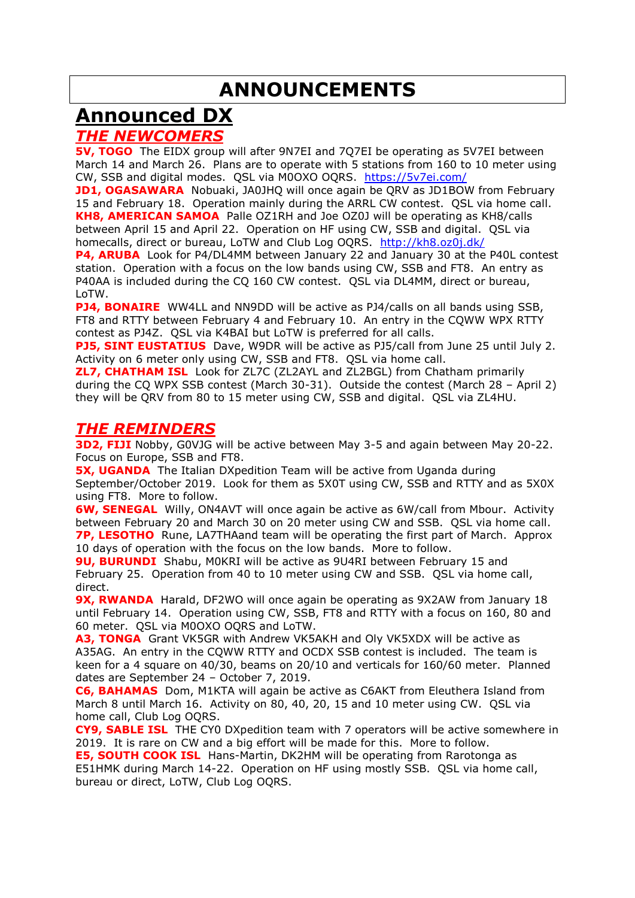# **ANNOUNCEMENTS**

# **Announced DX**

## *THE NEWCOMERS*

**5V, TOGO** The EIDX group will after 9N7EI and 7Q7EI be operating as 5V7EI between March 14 and March 26. Plans are to operate with 5 stations from 160 to 10 meter using CW, SSB and digital modes. QSL via M0OXO OQRS. <https://5v7ei.com/>

**JD1, OGASAWARA** Nobuaki, JA0JHQ will once again be QRV as JD1BOW from February 15 and February 18. Operation mainly during the ARRL CW contest. QSL via home call. **KH8, AMERICAN SAMOA** Palle OZ1RH and Joe OZ0J will be operating as KH8/calls between April 15 and April 22. Operation on HF using CW, SSB and digital. QSL via homecalls, direct or bureau, LoTW and Club Log OQRS. <http://kh8.oz0j.dk/>

**P4, ARUBA** Look for P4/DL4MM between January 22 and January 30 at the P40L contest station. Operation with a focus on the low bands using CW, SSB and FT8. An entry as P40AA is included during the CQ 160 CW contest. QSL via DL4MM, direct or bureau, LoTW.

**PJ4, BONAIRE** WW4LL and NN9DD will be active as PJ4/calls on all bands using SSB, FT8 and RTTY between February 4 and February 10. An entry in the CQWW WPX RTTY contest as PJ4Z. QSL via K4BAI but LoTW is preferred for all calls.

**PJ5, SINT EUSTATIUS** Dave, W9DR will be active as PJ5/call from June 25 until July 2. Activity on 6 meter only using CW, SSB and FT8. QSL via home call.

**ZL7, CHATHAM ISL** Look for ZL7C (ZL2AYL and ZL2BGL) from Chatham primarily during the CQ WPX SSB contest (March 30-31). Outside the contest (March 28 – April 2) they will be QRV from 80 to 15 meter using CW, SSB and digital. QSL via ZL4HU.

## *THE REMINDERS*

**3D2, FIJI** Nobby, G0VJG will be active between May 3-5 and again between May 20-22. Focus on Europe, SSB and FT8.

**5X, UGANDA** The Italian DXpedition Team will be active from Uganda during September/October 2019. Look for them as 5X0T using CW, SSB and RTTY and as 5X0X using FT8. More to follow.

**6W, SENEGAL** Willy, ON4AVT will once again be active as 6W/call from Mbour. Activity between February 20 and March 30 on 20 meter using CW and SSB. QSL via home call. **7P, LESOTHO** Rune, LA7THAand team will be operating the first part of March. Approx 10 days of operation with the focus on the low bands. More to follow.

**9U, BURUNDI** Shabu, M0KRI will be active as 9U4RI between February 15 and February 25. Operation from 40 to 10 meter using CW and SSB. QSL via home call, direct.

**9X, RWANDA** Harald, DF2WO will once again be operating as 9X2AW from January 18 until February 14. Operation using CW, SSB, FT8 and RTTY with a focus on 160, 80 and 60 meter. QSL via M0OXO OQRS and LoTW.

**A3, TONGA** Grant VK5GR with Andrew VK5AKH and Oly VK5XDX will be active as A35AG. An entry in the CQWW RTTY and OCDX SSB contest is included. The team is keen for a 4 square on 40/30, beams on 20/10 and verticals for 160/60 meter. Planned dates are September 24 – October 7, 2019.

**C6, BAHAMAS** Dom, M1KTA will again be active as C6AKT from Eleuthera Island from March 8 until March 16. Activity on 80, 40, 20, 15 and 10 meter using CW. QSL via home call, Club Log OQRS.

**CY9, SABLE ISL** THE CY0 DXpedition team with 7 operators will be active somewhere in 2019. It is rare on CW and a big effort will be made for this. More to follow.

**E5, SOUTH COOK ISL** Hans-Martin, DK2HM will be operating from Rarotonga as E51HMK during March 14-22. Operation on HF using mostly SSB. QSL via home call, bureau or direct, LoTW, Club Log OQRS.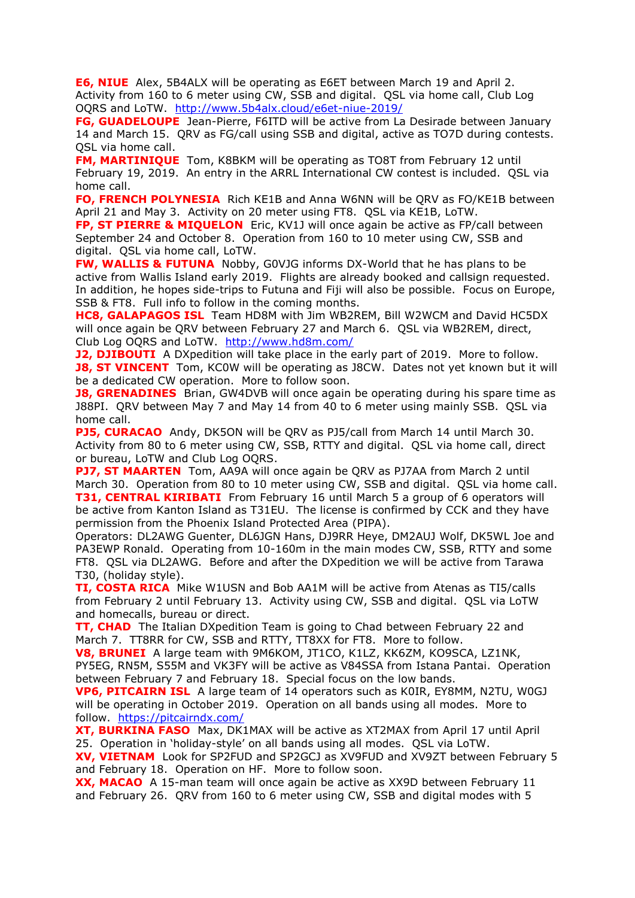**E6, NIUE** Alex, 5B4ALX will be operating as E6ET between March 19 and April 2. Activity from 160 to 6 meter using CW, SSB and digital. QSL via home call, Club Log OQRS and LoTW. <http://www.5b4alx.cloud/e6et-niue-2019/>

**FG, GUADELOUPE** Jean-Pierre, F6ITD will be active from La Desirade between January 14 and March 15. QRV as FG/call using SSB and digital, active as TO7D during contests. QSL via home call.

**FM, MARTINIQUE** Tom, K8BKM will be operating as TO8T from February 12 until February 19, 2019. An entry in the ARRL International CW contest is included. QSL via home call.

**FO, FRENCH POLYNESIA** Rich KE1B and Anna W6NN will be QRV as FO/KE1B between April 21 and May 3. Activity on 20 meter using FT8. QSL via KE1B, LoTW.

**FP, ST PIERRE & MIQUELON** Eric, KV1J will once again be active as FP/call between September 24 and October 8. Operation from 160 to 10 meter using CW, SSB and digital. QSL via home call, LoTW.

**FW, WALLIS & FUTUNA** Nobby, G0VJG informs DX-World that he has plans to be active from Wallis Island early 2019. Flights are already booked and callsign requested. In addition, he hopes side-trips to Futuna and Fiji will also be possible. Focus on Europe, SSB & FT8. Full info to follow in the coming months.

**HC8, GALAPAGOS ISL** Team HD8M with Jim WB2REM, Bill W2WCM and David HC5DX will once again be QRV between February 27 and March 6. QSL via WB2REM, direct, Club Log OQRS and LoTW. <http://www.hd8m.com/>

**J2, DJIBOUTI** A DXpedition will take place in the early part of 2019. More to follow. **J8, ST VINCENT** Tom, KC0W will be operating as J8CW. Dates not yet known but it will be a dedicated CW operation. More to follow soon.

**J8, GRENADINES** Brian, GW4DVB will once again be operating during his spare time as J88PI. QRV between May 7 and May 14 from 40 to 6 meter using mainly SSB. QSL via home call.

**PJ5, CURACAO** Andy, DK5ON will be QRV as PJ5/call from March 14 until March 30. Activity from 80 to 6 meter using CW, SSB, RTTY and digital. QSL via home call, direct or bureau, LoTW and Club Log OQRS.

**PJ7, ST MAARTEN** Tom, AA9A will once again be QRV as PJ7AA from March 2 until March 30. Operation from 80 to 10 meter using CW, SSB and digital. QSL via home call. **T31, CENTRAL KIRIBATI** From February 16 until March 5 a group of 6 operators will be active from Kanton Island as T31EU. The license is confirmed by CCK and they have permission from the Phoenix Island Protected Area (PIPA).

Operators: DL2AWG Guenter, DL6JGN Hans, DJ9RR Heye, DM2AUJ Wolf, DK5WL Joe and PA3EWP Ronald. Operating from 10-160m in the main modes CW, SSB, RTTY and some FT8. QSL via DL2AWG. Before and after the DXpedition we will be active from Tarawa T30, (holiday style).

**TI, COSTA RICA** Mike W1USN and Bob AA1M will be active from Atenas as TI5/calls from February 2 until February 13. Activity using CW, SSB and digital. QSL via LoTW and homecalls, bureau or direct.

**TT, CHAD** The Italian DXpedition Team is going to Chad between February 22 and March 7. TT8RR for CW, SSB and RTTY, TT8XX for FT8. More to follow.

**V8, BRUNEI** A large team with 9M6KOM, JT1CO, K1LZ, KK6ZM, KO9SCA, LZ1NK, PY5EG, RN5M, S55M and VK3FY will be active as V84SSA from Istana Pantai. Operation between February 7 and February 18. Special focus on the low bands.

**VP6, PITCAIRN ISL** A large team of 14 operators such as K0IR, EY8MM, N2TU, W0GJ will be operating in October 2019. Operation on all bands using all modes. More to follow. <https://pitcairndx.com/>

**XT, BURKINA FASO** Max, DK1MAX will be active as XT2MAX from April 17 until April 25. Operation in 'holiday-style' on all bands using all modes. QSL via LoTW.

**XV, VIETNAM** Look for SP2FUD and SP2GCJ as XV9FUD and XV9ZT between February 5 and February 18. Operation on HF. More to follow soon.

**XX, MACAO** A 15-man team will once again be active as XX9D between February 11 and February 26. QRV from 160 to 6 meter using CW, SSB and digital modes with 5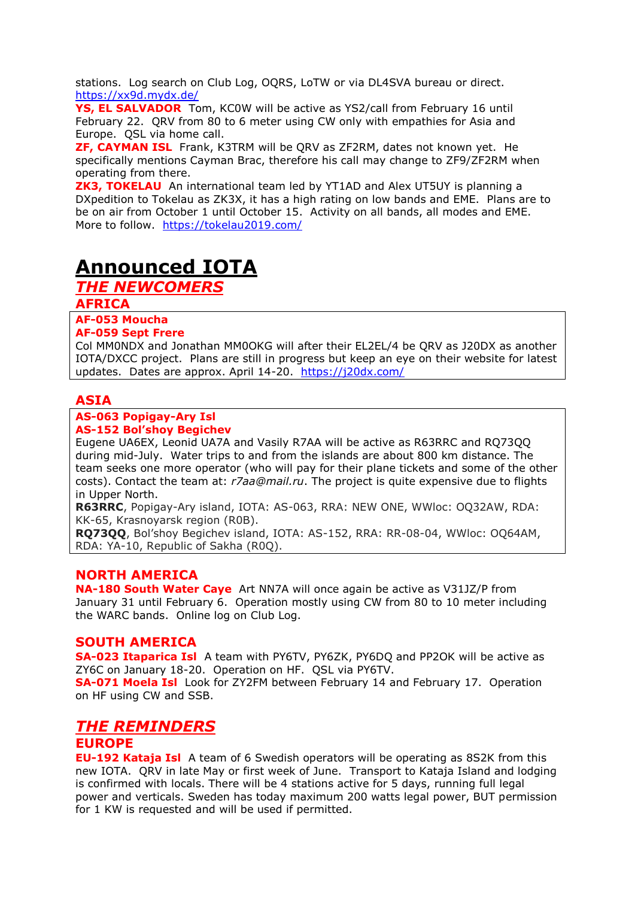stations. Log search on Club Log, OQRS, LoTW or via DL4SVA bureau or direct. <https://xx9d.mydx.de/>

**YS, EL SALVADOR** Tom, KC0W will be active as YS2/call from February 16 until February 22. QRV from 80 to 6 meter using CW only with empathies for Asia and Europe. QSL via home call.

**ZF, CAYMAN ISL** Frank, K3TRM will be QRV as ZF2RM, dates not known yet. He specifically mentions Cayman Brac, therefore his call may change to ZF9/ZF2RM when operating from there.

**ZK3, TOKELAU** An international team led by YT1AD and Alex UT5UY is planning a DXpedition to Tokelau as ZK3X, it has a high rating on low bands and EME. Plans are to be on air from October 1 until October 15. Activity on all bands, all modes and EME. More to follow. <https://tokelau2019.com/>

# **Announced IOTA**

*THE NEWCOMERS*

**AFRICA**

**AF-053 Moucha**

#### **AF-059 Sept Frere**

Col MM0NDX and Jonathan MM0OKG will after their EL2EL/4 be QRV as J20DX as another IOTA/DXCC project. Plans are still in progress but keep an eye on their website for latest updates. Dates are approx. April 14-20. <https://j20dx.com/>

### **ASIA**

#### **AS-063 Popigay-Ary Isl AS-152 Bol'shoy Begichev**

Eugene UA6EX, Leonid UA7A and Vasily R7AA will be active as R63RRC and RQ73QQ during mid-July. Water trips to and from the islands are about 800 km distance. The team seeks one more operator (who will pay for their plane tickets and some of the other costs). Contact the team at: *r7aa@mail.ru*. The project is quite expensive due to flights in Upper North.

**R63RRC**, Popigay-Ary island, IOTA: AS-063, RRA: NEW ONE, WWloc: OQ32AW, RDA: KK-65, Krasnoyarsk region (R0B).

**RQ73QQ**, Bol'shoy Begichev island, IOTA: AS-152, RRA: RR-08-04, WWloc: OQ64AM, RDA: YA-10, Republic of Sakha (R0Q).

## **NORTH AMERICA**

**NA-180 South Water Caye** Art NN7A will once again be active as V31JZ/P from January 31 until February 6. Operation mostly using CW from 80 to 10 meter including the WARC bands. Online log on Club Log.

#### **SOUTH AMERICA**

**SA-023 Itaparica Isl** A team with PY6TV, PY6ZK, PY6DQ and PP2OK will be active as ZY6C on January 18-20. Operation on HF. QSL via PY6TV.

**SA-071 Moela Isl** Look for ZY2FM between February 14 and February 17. Operation on HF using CW and SSB.

## *THE REMINDERS*

## **EUROPE**

**EU-192 Kataja Isl** A team of 6 Swedish operators will be operating as 8S2K from this new IOTA. QRV in late May or first week of June. Transport to Kataja Island and lodging is confirmed with locals. There will be 4 stations active for 5 days, running full legal power and verticals. Sweden has today maximum 200 watts legal power, BUT permission for 1 KW is requested and will be used if permitted.